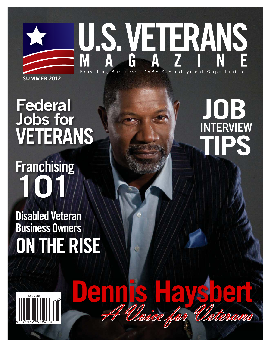

**SUMMER 2012**

#### **Federal Jobs for VETERANS**

## **Franchising 101**

**Disabled Veteran Business Owners ON THE RISE**



# **Dennis Haysbert** A Voice for Veterans

### **JOB** *<b>IERVIEW* **TIPS**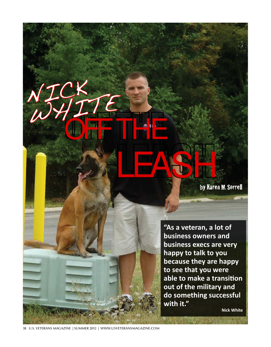#### by Karen M. Sorrell

**"As a veteran, a lot of business owners and business execs are very happy to talk to you because they are happy to see that you were able to make a transition out of the military and do something successful with it."**

**nick White**

OFF THE T

Nick

WHITE

**LEASH**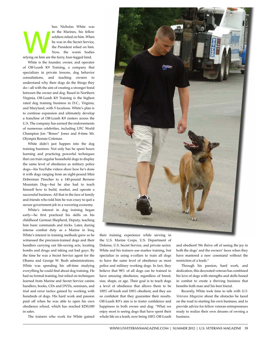hen<br>
soldie<br>
he wa<br>
the P:<br>
Now, hen Nicholas White was in the Marines, his fellow soldiers relied on him. When he was in the Secret Service, the President relied on him. Now, the warm bodies relying on him are the furry, four-legged kind.

White is the founder, owner, and operator of Off-Leash K9 Training, a company that specializes in private lessons, dog behavior consultations, and teaching owners to understand why their dogs do the things they do—all with the aim of creating a stronger bond between the owner and dog. Based in Northern Virginia, Off-Leash K9 Training is the highest rated dog training business in D.C., Virginia, and Maryland, with 5 locations. White's plan is to continue expansion and ultimately develop a franchise of Off-Leash K9 centers across the U.S. The company has earned the endorsements of numerous celebrities, including UFC World Champion Jon "Bones" Jones and 8-time Mr. Olympia Ronnie Coleman.

White didn't just happen into the dog training business. Not only has he spent hours learning and practicing powerful techniques that can train regular household dogs to display the same level of obedience as military police dogs—his YouTube videos show how he's done it with dogs ranging from an eight-pound Mini Doberman Pinscher to a 140-pound Bernese Mountain Dog—but he also had to teach himself how to build, market, and operate a successful business. All that in the face of family and friends who told him he was crazy to quit a secure government job in a wavering economy.

White's interest in dog training began early—he first practiced his skills on his childhood German Shepherd, Deputy, teaching him basic commands and tricks. Later, during intense combat duty as a Marine in Iraq, White's interest in training methods grew as he witnessed the precision-trained dogs and their handlers carrying out life-saving acts, locating bombs and drugs and taking out bad guys. By the time he was a Secret Service agent for the Obama and George W. Bush administrations, White was spending his off-time studying everything he could find about dog training. He had no formal training, but relied on techniques learned from Marine and Secret Service canine handlers, books, CDs and DVDs, seminars, and trial and error tactics gained by working with hundreds of dogs. His hard work and passion paid off when he was able to open his own obedience school, which has reached \$250,000 in sales.

The trainers who work for White gained



their training experience while serving in the U.S. Marine Corps, U.S. Department of Defense, U.S. Secret Service, and private sector. White and his trainers use marker training, but specialize in using e-collars to train all dogs to have the same level of obedience as most police and military working dogs. In fact, they believe that 98% of all dogs can be trained to have amazing obedience, regardless of breed, size, shape, or age. Their goal is to teach dogs a level of obedience that allows them to be 100% off leash and 100% obedient, and they are so confident that they guarantee their results. Off-Leash K9's aim is to foster confidence and happiness in both owner and dog: "What we enjoy most is seeing dogs that have spent their whole life on a leash, now being 100% Off-Leash

and obedient! We thrive off of seeing the joy in both the dogs' and the owners' faces when they have mastered a new command without the restriction of a leash."

Through his passion, hard work, and dedication, this decorated veteran has combined his love of dogs with strengths and skills honed in combat to create a thriving business that benefits both man and his best friend.

Recently, White took time to talk with *U.S. Veterans Magazine* about the obstacles he faced on the road to starting his own business, and to provide advice for fellow veteran entrepreneurs ready to realize their own dreams of owning a business.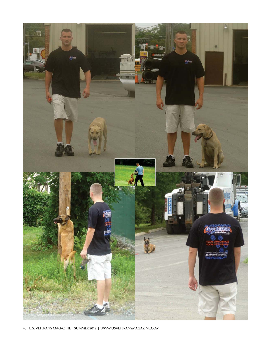